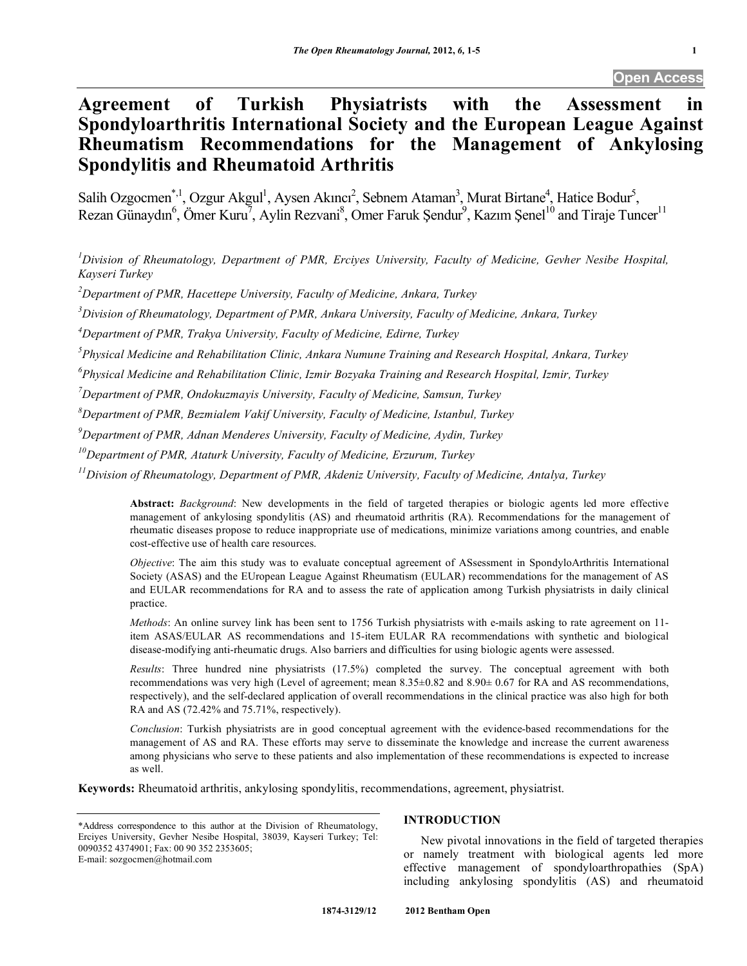# **Agreement of Turkish Physiatrists with the Assessment in Spondyloarthritis International Society and the European League Against Rheumatism Recommendations for the Management of Ankylosing Spondylitis and Rheumatoid Arthritis**

Salih Ozgocmen<sup>\*, 1</sup>, Ozgur Akgul<sup>1</sup>, Aysen Akıncı<sup>2</sup>, Sebnem Ataman<sup>3</sup>, Murat Birtane<sup>4</sup>, Hatice Bodur<sup>5</sup>, Rezan Günaydın<sup>6</sup>, Ömer Kuru<sup>7</sup>, Aylin Rezvani<sup>8</sup>, Omer Faruk Şendur<sup>9</sup>, Kazım Şenel<sup>10</sup> and Tiraje Tuncer<sup>11</sup>

*1 Division of Rheumatology, Department of PMR, Erciyes University, Faculty of Medicine, Gevher Nesibe Hospital, Kayseri Turkey* 

*2 Department of PMR, Hacettepe University, Faculty of Medicine, Ankara, Turkey* 

*3 Division of Rheumatology, Department of PMR, Ankara University, Faculty of Medicine, Ankara, Turkey* 

*4 Department of PMR, Trakya University, Faculty of Medicine, Edirne, Turkey* 

*5 Physical Medicine and Rehabilitation Clinic, Ankara Numune Training and Research Hospital, Ankara, Turkey* 

*6 Physical Medicine and Rehabilitation Clinic, Izmir Bozyaka Training and Research Hospital, Izmir, Turkey* 

*7 Department of PMR, Ondokuzmayis University, Faculty of Medicine, Samsun, Turkey* 

*8 Department of PMR, Bezmialem Vakif University, Faculty of Medicine, Istanbul, Turkey* 

*9 Department of PMR, Adnan Menderes University, Faculty of Medicine, Aydin, Turkey* 

*10Department of PMR, Ataturk University, Faculty of Medicine, Erzurum, Turkey* 

*11Division of Rheumatology, Department of PMR, Akdeniz University, Faculty of Medicine, Antalya, Turkey* 

**Abstract:** *Background*: New developments in the field of targeted therapies or biologic agents led more effective management of ankylosing spondylitis (AS) and rheumatoid arthritis (RA). Recommendations for the management of rheumatic diseases propose to reduce inappropriate use of medications, minimize variations among countries, and enable cost-effective use of health care resources.

*Objective*: The aim this study was to evaluate conceptual agreement of ASsessment in SpondyloArthritis International Society (ASAS) and the EUropean League Against Rheumatism (EULAR) recommendations for the management of AS and EULAR recommendations for RA and to assess the rate of application among Turkish physiatrists in daily clinical practice.

*Methods*: An online survey link has been sent to 1756 Turkish physiatrists with e-mails asking to rate agreement on 11 item ASAS/EULAR AS recommendations and 15-item EULAR RA recommendations with synthetic and biological disease-modifying anti-rheumatic drugs. Also barriers and difficulties for using biologic agents were assessed.

*Results*: Three hundred nine physiatrists (17.5%) completed the survey. The conceptual agreement with both recommendations was very high (Level of agreement; mean 8.35±0.82 and 8.90± 0.67 for RA and AS recommendations, respectively), and the self-declared application of overall recommendations in the clinical practice was also high for both RA and AS (72.42% and 75.71%, respectively).

*Conclusion*: Turkish physiatrists are in good conceptual agreement with the evidence-based recommendations for the management of AS and RA. These efforts may serve to disseminate the knowledge and increase the current awareness among physicians who serve to these patients and also implementation of these recommendations is expected to increase as well.

**Keywords:** Rheumatoid arthritis, ankylosing spondylitis, recommendations, agreement, physiatrist.

# **INTRODUCTION**

 New pivotal innovations in the field of targeted therapies or namely treatment with biological agents led more effective management of spondyloarthropathies (SpA) including ankylosing spondylitis (AS) and rheumatoid

<sup>\*</sup>Address correspondence to this author at the Division of Rheumatology, Erciyes University, Gevher Nesibe Hospital, 38039, Kayseri Turkey; Tel: 0090352 4374901; Fax: 00 90 352 2353605; E-mail: sozgocmen@hotmail.com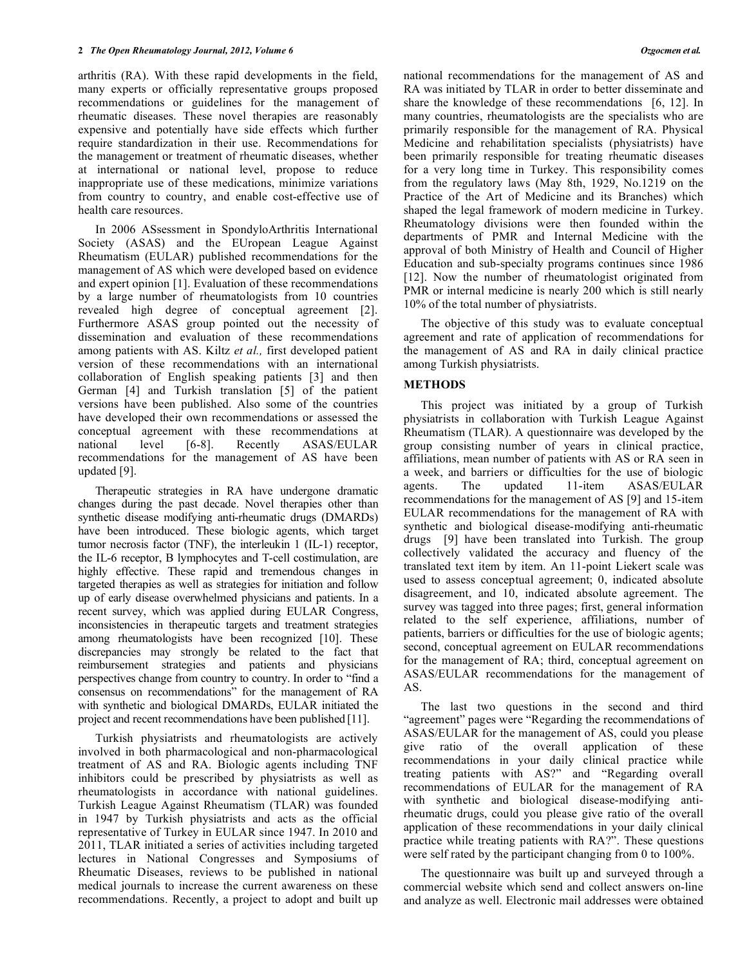arthritis (RA). With these rapid developments in the field, many experts or officially representative groups proposed recommendations or guidelines for the management of rheumatic diseases. These novel therapies are reasonably expensive and potentially have side effects which further require standardization in their use. Recommendations for the management or treatment of rheumatic diseases, whether at international or national level, propose to reduce inappropriate use of these medications, minimize variations from country to country, and enable cost-effective use of health care resources.

 In 2006 ASsessment in SpondyloArthritis International Society (ASAS) and the EUropean League Against Rheumatism (EULAR) published recommendations for the management of AS which were developed based on evidence and expert opinion [1]. Evaluation of these recommendations by a large number of rheumatologists from 10 countries revealed high degree of conceptual agreement [2]. Furthermore ASAS group pointed out the necessity of dissemination and evaluation of these recommendations among patients with AS. Kiltz *et al.,* first developed patient version of these recommendations with an international collaboration of English speaking patients [3] and then German [4] and Turkish translation [5] of the patient versions have been published. Also some of the countries have developed their own recommendations or assessed the conceptual agreement with these recommendations at national level [6-8]. Recently ASAS/EULAR recommendations for the management of AS have been updated [9].

 Therapeutic strategies in RA have undergone dramatic changes during the past decade. Novel therapies other than synthetic disease modifying anti-rheumatic drugs (DMARDs) have been introduced. These biologic agents, which target tumor necrosis factor (TNF), the interleukin 1 (IL-1) receptor, the IL-6 receptor, B lymphocytes and T-cell costimulation, are highly effective. These rapid and tremendous changes in targeted therapies as well as strategies for initiation and follow up of early disease overwhelmed physicians and patients. In a recent survey, which was applied during EULAR Congress, inconsistencies in therapeutic targets and treatment strategies among rheumatologists have been recognized [10]. These discrepancies may strongly be related to the fact that reimbursement strategies and patients and physicians perspectives change from country to country. In order to "find a consensus on recommendations" for the management of RA with synthetic and biological DMARDs, EULAR initiated the project and recent recommendations have been published [11].

 Turkish physiatrists and rheumatologists are actively involved in both pharmacological and non-pharmacological treatment of AS and RA. Biologic agents including TNF inhibitors could be prescribed by physiatrists as well as rheumatologists in accordance with national guidelines. Turkish League Against Rheumatism (TLAR) was founded in 1947 by Turkish physiatrists and acts as the official representative of Turkey in EULAR since 1947. In 2010 and 2011, TLAR initiated a series of activities including targeted lectures in National Congresses and Symposiums of Rheumatic Diseases, reviews to be published in national medical journals to increase the current awareness on these recommendations. Recently, a project to adopt and built up

national recommendations for the management of AS and RA was initiated by TLAR in order to better disseminate and share the knowledge of these recommendations [6, 12]. In many countries, rheumatologists are the specialists who are primarily responsible for the management of RA. Physical Medicine and rehabilitation specialists (physiatrists) have been primarily responsible for treating rheumatic diseases for a very long time in Turkey. This responsibility comes from the regulatory laws (May 8th, 1929, No.1219 on the Practice of the Art of Medicine and its Branches) which shaped the legal framework of modern medicine in Turkey. Rheumatology divisions were then founded within the departments of PMR and Internal Medicine with the approval of both Ministry of Health and Council of Higher Education and sub-specialty programs continues since 1986 [12]. Now the number of rheumatologist originated from PMR or internal medicine is nearly 200 which is still nearly 10% of the total number of physiatrists.

 The objective of this study was to evaluate conceptual agreement and rate of application of recommendations for the management of AS and RA in daily clinical practice among Turkish physiatrists.

# **METHODS**

 This project was initiated by a group of Turkish physiatrists in collaboration with Turkish League Against Rheumatism (TLAR). A questionnaire was developed by the group consisting number of years in clinical practice, affiliations, mean number of patients with AS or RA seen in a week, and barriers or difficulties for the use of biologic agents. The updated 11-item ASAS/EULAR recommendations for the management of AS [9] and 15-item EULAR recommendations for the management of RA with synthetic and biological disease-modifying anti-rheumatic drugs [9] have been translated into Turkish. The group collectively validated the accuracy and fluency of the translated text item by item. An 11-point Liekert scale was used to assess conceptual agreement; 0, indicated absolute disagreement, and 10, indicated absolute agreement. The survey was tagged into three pages; first, general information related to the self experience, affiliations, number of patients, barriers or difficulties for the use of biologic agents; second, conceptual agreement on EULAR recommendations for the management of RA; third, conceptual agreement on ASAS/EULAR recommendations for the management of AS.

 The last two questions in the second and third "agreement" pages were "Regarding the recommendations of ASAS/EULAR for the management of AS, could you please give ratio of the overall application of these recommendations in your daily clinical practice while treating patients with AS?" and "Regarding overall recommendations of EULAR for the management of RA with synthetic and biological disease-modifying antirheumatic drugs, could you please give ratio of the overall application of these recommendations in your daily clinical practice while treating patients with RA?". These questions were self rated by the participant changing from 0 to 100%.

 The questionnaire was built up and surveyed through a commercial website which send and collect answers on-line and analyze as well. Electronic mail addresses were obtained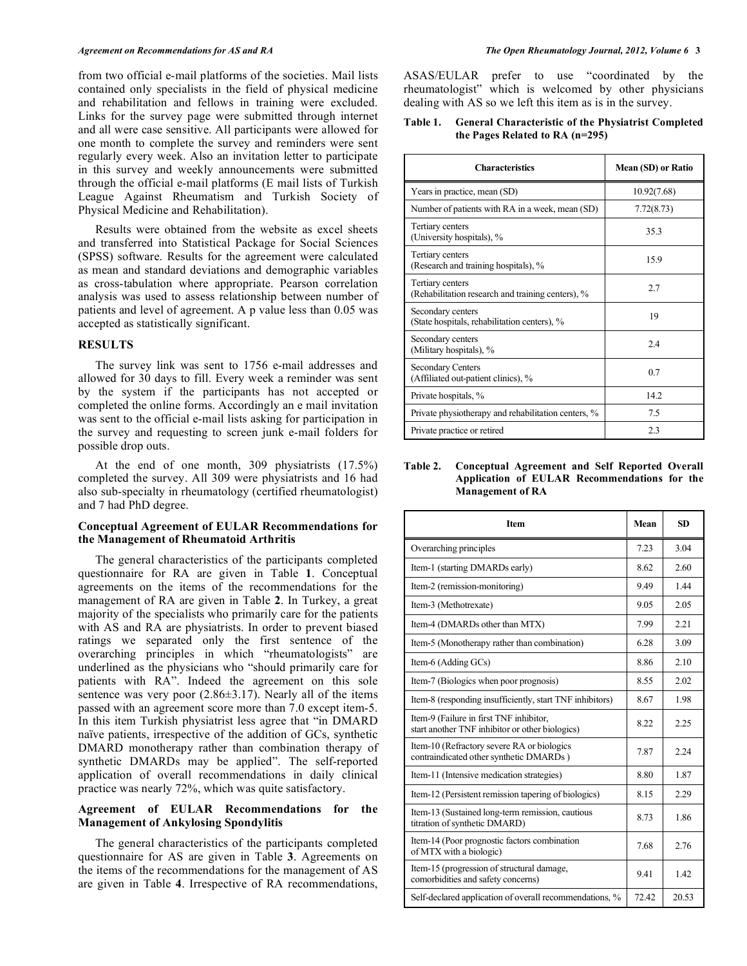from two official e-mail platforms of the societies. Mail lists contained only specialists in the field of physical medicine and rehabilitation and fellows in training were excluded. Links for the survey page were submitted through internet and all were case sensitive. All participants were allowed for one month to complete the survey and reminders were sent regularly every week. Also an invitation letter to participate in this survey and weekly announcements were submitted through the official e-mail platforms (E mail lists of Turkish League Against Rheumatism and Turkish Society of Physical Medicine and Rehabilitation).

 Results were obtained from the website as excel sheets and transferred into Statistical Package for Social Sciences (SPSS) software. Results for the agreement were calculated as mean and standard deviations and demographic variables as cross-tabulation where appropriate. Pearson correlation analysis was used to assess relationship between number of patients and level of agreement. A p value less than 0.05 was accepted as statistically significant.

### **RESULTS**

 The survey link was sent to 1756 e-mail addresses and allowed for 30 days to fill. Every week a reminder was sent by the system if the participants has not accepted or completed the online forms. Accordingly an e mail invitation was sent to the official e-mail lists asking for participation in the survey and requesting to screen junk e-mail folders for possible drop outs.

 At the end of one month, 309 physiatrists (17.5%) completed the survey. All 309 were physiatrists and 16 had also sub-specialty in rheumatology (certified rheumatologist) and 7 had PhD degree.

### **Conceptual Agreement of EULAR Recommendations for the Management of Rheumatoid Arthritis**

 The general characteristics of the participants completed questionnaire for RA are given in Table **1**. Conceptual agreements on the items of the recommendations for the management of RA are given in Table **2**. In Turkey, a great majority of the specialists who primarily care for the patients with AS and RA are physiatrists. In order to prevent biased ratings we separated only the first sentence of the overarching principles in which "rheumatologists" are underlined as the physicians who "should primarily care for patients with RA". Indeed the agreement on this sole sentence was very poor  $(2.86\pm3.17)$ . Nearly all of the items passed with an agreement score more than 7.0 except item-5. In this item Turkish physiatrist less agree that "in DMARD naïve patients, irrespective of the addition of GCs, synthetic DMARD monotherapy rather than combination therapy of synthetic DMARDs may be applied". The self-reported application of overall recommendations in daily clinical practice was nearly 72%, which was quite satisfactory.

# **Agreement of EULAR Recommendations for the Management of Ankylosing Spondylitis**

 The general characteristics of the participants completed questionnaire for AS are given in Table **3**. Agreements on the items of the recommendations for the management of AS are given in Table **4**. Irrespective of RA recommendations, ASAS/EULAR prefer to use "coordinated by the rheumatologist" which is welcomed by other physicians dealing with AS so we left this item as is in the survey.

# **Table 1. General Characteristic of the Physiatrist Completed the Pages Related to RA (n=295)**

| <b>Characteristics</b>                                                | Mean (SD) or Ratio |  |
|-----------------------------------------------------------------------|--------------------|--|
| Years in practice, mean (SD)                                          | 10.92(7.68)        |  |
| Number of patients with RA in a week, mean (SD)                       | 7.72(8.73)         |  |
| Tertiary centers<br>(University hospitals), %                         | 35.3               |  |
| Tertiary centers<br>(Research and training hospitals), %              | 15.9               |  |
| Tertiary centers<br>(Rehabilitation research and training centers), % | 2.7                |  |
| Secondary centers<br>(State hospitals, rehabilitation centers), %     | 19                 |  |
| Secondary centers<br>(Military hospitals), %                          | 2.4                |  |
| <b>Secondary Centers</b><br>(Affiliated out-patient clinics), %       | 0.7                |  |
| Private hospitals, %                                                  | 14.2               |  |
| Private physiotherapy and rehabilitation centers, %                   | 7.5                |  |
| Private practice or retired                                           | 23                 |  |

#### **Table 2. Conceptual Agreement and Self Reported Overall Application of EULAR Recommendations for the Management of RA**

| <b>Item</b>                                                                                | Mean  | <b>SD</b> |
|--------------------------------------------------------------------------------------------|-------|-----------|
| Overarching principles                                                                     | 7.23  | 3.04      |
| Item-1 (starting DMARDs early)                                                             | 8.62  | 2.60      |
| Item-2 (remission-monitoring)                                                              | 9.49  | 144       |
| Item-3 (Methotrexate)                                                                      | 9.05  | 2.05      |
| Item-4 (DMARDs other than MTX)                                                             | 7.99  | 2.21      |
| Item-5 (Monotherapy rather than combination)                                               | 6.28  | 3.09      |
| Item-6 (Adding GCs)                                                                        | 8.86  | 2.10      |
| Item-7 (Biologics when poor prognosis)                                                     | 8.55  | 2.02      |
| Item-8 (responding insufficiently, start TNF inhibitors)                                   | 8.67  | 1.98      |
| Item-9 (Failure in first TNF inhibitor,<br>start another TNF inhibitor or other biologics) | 8.22  | 2.25      |
| Item-10 (Refractory severe RA or biologics<br>contraindicated other synthetic DMARDs)      | 7.87  | 2.24      |
| Item-11 (Intensive medication strategies)                                                  | 8.80  | 1.87      |
| Item-12 (Persistent remission tapering of biologics)                                       | 8.15  | 2.29      |
| Item-13 (Sustained long-term remission, cautious<br>titration of synthetic DMARD)          | 8.73  | 1.86      |
| Item-14 (Poor prognostic factors combination<br>of MTX with a biologic)                    | 7.68  | 2.76      |
| Item-15 (progression of structural damage,<br>comorbidities and safety concerns)           | 9.41  | 1.42      |
| Self-declared application of overall recommendations, %                                    | 72.42 | 20.53     |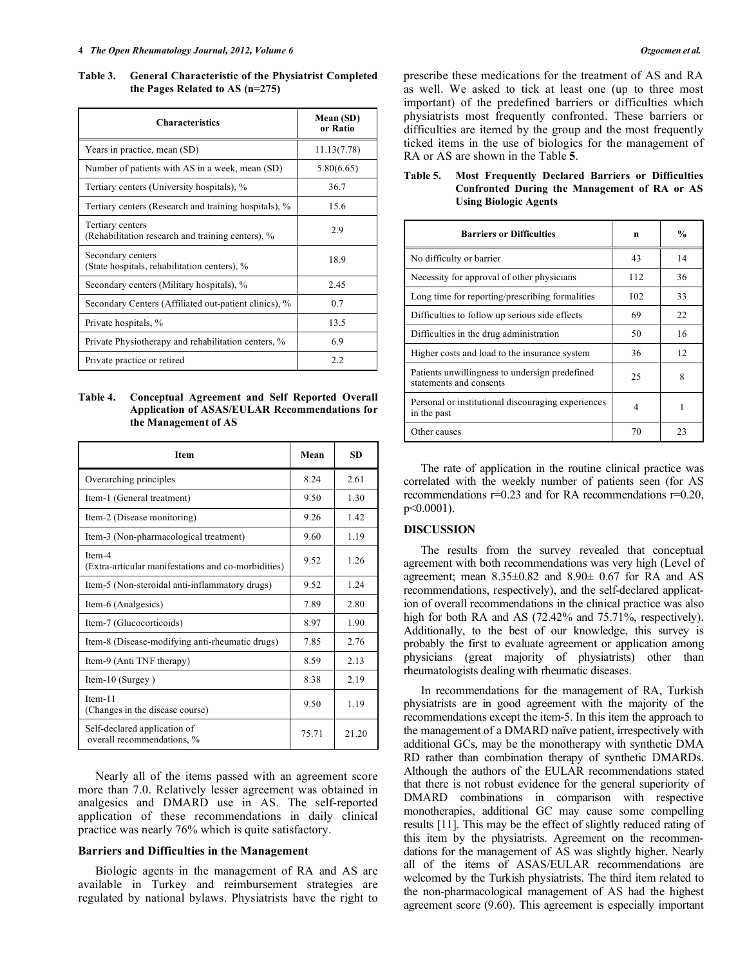**Table 3. General Characteristic of the Physiatrist Completed the Pages Related to AS (n=275)** 

| <b>Characteristics</b>                                                | Mean (SD)<br>or Ratio |  |
|-----------------------------------------------------------------------|-----------------------|--|
| Years in practice, mean (SD)                                          | 11.13(7.78)           |  |
| Number of patients with AS in a week, mean (SD)                       | 5.80(6.65)            |  |
| Tertiary centers (University hospitals), %                            | 36.7                  |  |
| Tertiary centers (Research and training hospitals), %                 | 15.6                  |  |
| Tertiary centers<br>(Rehabilitation research and training centers), % | 2.9                   |  |
| Secondary centers<br>(State hospitals, rehabilitation centers), %     | 18.9                  |  |
| Secondary centers (Military hospitals), %                             | 2.45                  |  |
| Secondary Centers (Affiliated out-patient clinics), %                 | 0.7                   |  |
| Private hospitals, %                                                  | 13.5                  |  |
| Private Physiotherapy and rehabilitation centers, %                   | 6.9                   |  |
| Private practice or retired                                           | 2.2                   |  |

**Table 4. Conceptual Agreement and Self Reported Overall Application of ASAS/EULAR Recommendations for the Management of AS** 

| <b>Item</b>                                                   | Mean  | SD.   |
|---------------------------------------------------------------|-------|-------|
| Overarching principles                                        | 8.24  | 2.61  |
| Item-1 (General treatment)                                    | 9.50  | 1.30  |
| Item-2 (Disease monitoring)                                   | 9.26  | 1.42  |
| Item-3 (Non-pharmacological treatment)                        | 9.60  | 1.19  |
| Item-4<br>(Extra-articular manifestations and co-morbidities) | 9.52  | 1 26  |
| Item-5 (Non-steroidal anti-inflammatory drugs)                | 9.52  | 124   |
| Item-6 (Analgesics)                                           | 7.89  | 2.80  |
| Item-7 (Glucocorticoids)                                      | 8.97  | 1.90  |
| Item-8 (Disease-modifying anti-rheumatic drugs)               | 7.85  | 2.76  |
| Item-9 (Anti TNF therapy)                                     | 8.59  | 2.13  |
| Item-10 (Surgey)                                              | 8.38  | 2.19  |
| Item-11<br>(Changes in the disease course)                    | 9.50  | 1.19  |
| Self-declared application of<br>overall recommendations, %    | 75.71 | 21.20 |

 Nearly all of the items passed with an agreement score more than 7.0. Relatively lesser agreement was obtained in analgesics and DMARD use in AS. The self-reported application of these recommendations in daily clinical practice was nearly 76% which is quite satisfactory.

#### **Barriers and Difficulties in the Management**

 Biologic agents in the management of RA and AS are available in Turkey and reimbursement strategies are regulated by national bylaws. Physiatrists have the right to

prescribe these medications for the treatment of AS and RA as well. We asked to tick at least one (up to three most important) of the predefined barriers or difficulties which physiatrists most frequently confronted. These barriers or difficulties are itemed by the group and the most frequently ticked items in the use of biologics for the management of RA or AS are shown in the Table **5**.

| <b>Barriers or Difficulties</b>                                           | n   | $\frac{0}{0}$ |
|---------------------------------------------------------------------------|-----|---------------|
| No difficulty or barrier                                                  | 43  | 14            |
| Necessity for approval of other physicians                                | 112 | 36            |
| Long time for reporting/prescribing formalities                           | 102 | 33            |
| Difficulties to follow up serious side effects                            | 69  | 22            |
| Difficulties in the drug administration                                   | 50  | 16            |
| Higher costs and load to the insurance system                             | 36  | 12            |
| Patients unwillingness to undersign predefined<br>statements and consents | 25  | 8             |
| Personal or institutional discouraging experiences<br>in the past         | 4   |               |
| Other causes                                                              | 70  | 23            |

# **Table 5. Most Frequently Declared Barriers or Difficulties Confronted During the Management of RA or AS Using Biologic Agents**

 The rate of application in the routine clinical practice was correlated with the weekly number of patients seen (for AS recommendations r=0.23 and for RA recommendations r=0.20, p<0.0001).

# **DISCUSSION**

 The results from the survey revealed that conceptual agreement with both recommendations was very high (Level of agreement; mean 8.35±0.82 and 8.90± 0.67 for RA and AS recommendations, respectively), and the self-declared application of overall recommendations in the clinical practice was also high for both RA and AS (72.42% and 75.71%, respectively). Additionally, to the best of our knowledge, this survey is probably the first to evaluate agreement or application among physicians (great majority of physiatrists) other than rheumatologists dealing with rheumatic diseases.

 In recommendations for the management of RA, Turkish physiatrists are in good agreement with the majority of the recommendations except the item-5. In this item the approach to the management of a DMARD naïve patient, irrespectively with additional GCs, may be the monotherapy with synthetic DMA RD rather than combination therapy of synthetic DMARDs. Although the authors of the EULAR recommendations stated that there is not robust evidence for the general superiority of DMARD combinations in comparison with respective monotherapies, additional GC may cause some compelling results [11]. This may be the effect of slightly reduced rating of this item by the physiatrists. Agreement on the recommendations for the management of AS was slightly higher. Nearly all of the items of ASAS/EULAR recommendations are welcomed by the Turkish physiatrists. The third item related to the non-pharmacological management of AS had the highest agreement score (9.60). This agreement is especially important